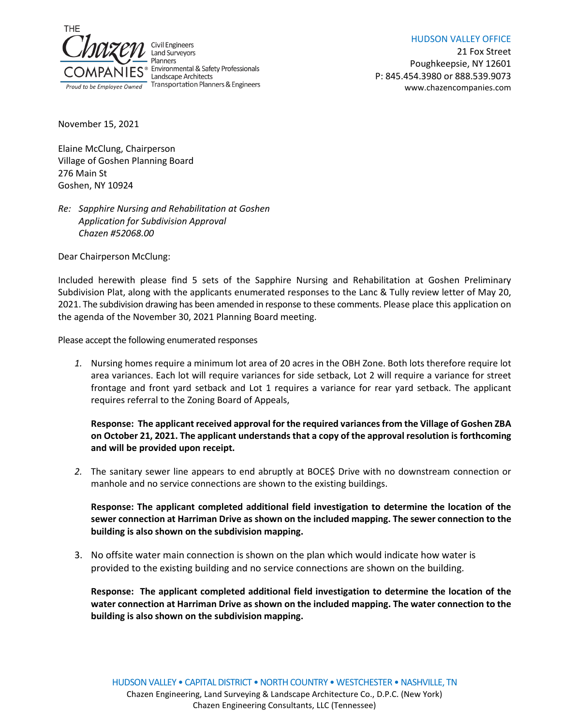

HUDSON VALLEY OFFICE

21 Fox Street Poughkeepsie, NY 12601 P: 845.454.3980 or 888.539.9073 www.chazencompanies.com

November 15, 2021

Elaine McClung, Chairperson Village of Goshen Planning Board 276 Main St Goshen, NY 10924

# *Re: Sapphire Nursing and Rehabilitation at Goshen Application for Subdivision Approval Chazen #52068.00*

Dear Chairperson McClung:

Included herewith please find 5 sets of the Sapphire Nursing and Rehabilitation at Goshen Preliminary Subdivision Plat, along with the applicants enumerated responses to the Lanc & Tully review letter of May 20, 2021. The subdivision drawing has been amended in response to these comments. Please place this application on the agenda of the November 30, 2021 Planning Board meeting.

Please accept the following enumerated responses

*1.* Nursing homes require a minimum lot area of 20 acres in the OBH Zone. Both lots therefore require lot area variances. Each lot will require variances for side setback, Lot 2 will require a variance for street frontage and front yard setback and Lot 1 requires a variance for rear yard setback. The applicant requires referral to the Zoning Board of Appeals,

# **Response: The applicant received approval for the required variances from the Village of Goshen ZBA on October 21, 2021. The applicant understands that a copy of the approval resolution is forthcoming and will be provided upon receipt.**

*2.* The sanitary sewer line appears to end abruptly at BOCE\$ Drive with no downstream connection or manhole and no service connections are shown to the existing buildings.

**Response: The applicant completed additional field investigation to determine the location of the sewer connection at Harriman Drive as shown on the included mapping. The sewer connection to the building is also shown on the subdivision mapping.**

3. No offsite water main connection is shown on the plan which would indicate how water is provided to the existing building and no service connections are shown on the building.

**Response: The applicant completed additional field investigation to determine the location of the water connection at Harriman Drive as shown on the included mapping. The water connection to the building is also shown on the subdivision mapping.**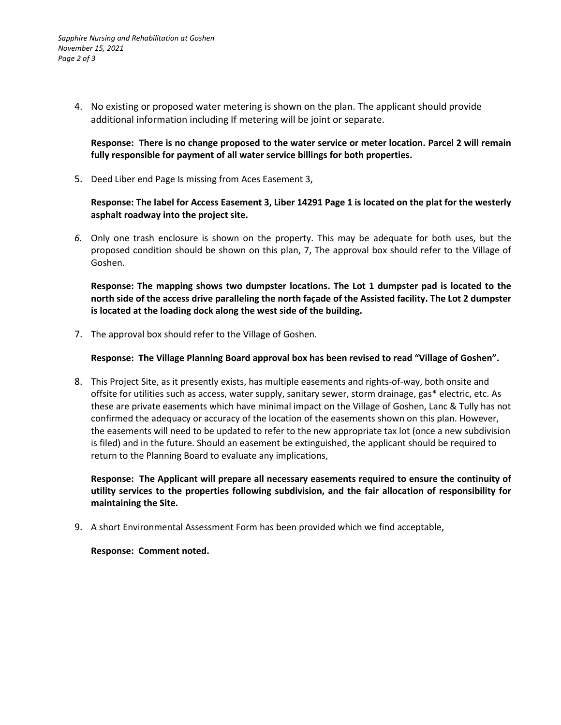4. No existing or proposed water metering is shown on the plan. The applicant should provide additional information including If metering will be joint or separate.

### **Response: There is no change proposed to the water service or meter location. Parcel 2 will remain fully responsible for payment of all water service billings for both properties.**

5. Deed Liber end Page Is missing from Aces Easement 3,

### **Response: The label for Access Easement 3, Liber 14291 Page 1 is located on the plat for the westerly asphalt roadway into the project site.**

*6.* Only one trash enclosure is shown on the property. This may be adequate for both uses, but the proposed condition should be shown on this plan, 7, The approval box should refer to the Village of Goshen.

**Response: The mapping shows two dumpster locations. The Lot 1 dumpster pad is located to the north side of the access drive paralleling the north façade of the Assisted facility. The Lot 2 dumpster is located at the loading dock along the west side of the building.**

7. The approval box should refer to the Village of Goshen.

### **Response: The Village Planning Board approval box has been revised to read "Village of Goshen".**

8. This Project Site, as it presently exists, has multiple easements and rights-of-way, both onsite and offsite for utilities such as access, water supply, sanitary sewer, storm drainage, gas\* electric, etc. As these are private easements which have minimal impact on the Village of Goshen, Lanc & Tully has not confirmed the adequacy or accuracy of the location of the easements shown on this plan. However, the easements will need to be updated to refer to the new appropriate tax lot (once a new subdivision is filed) and in the future. Should an easement be extinguished, the applicant should be required to return to the Planning Board to evaluate any implications,

**Response: The Applicant will prepare all necessary easements required to ensure the continuity of utility services to the properties following subdivision, and the fair allocation of responsibility for maintaining the Site.** 

9. A short Environmental Assessment Form has been provided which we find acceptable,

**Response: Comment noted.**